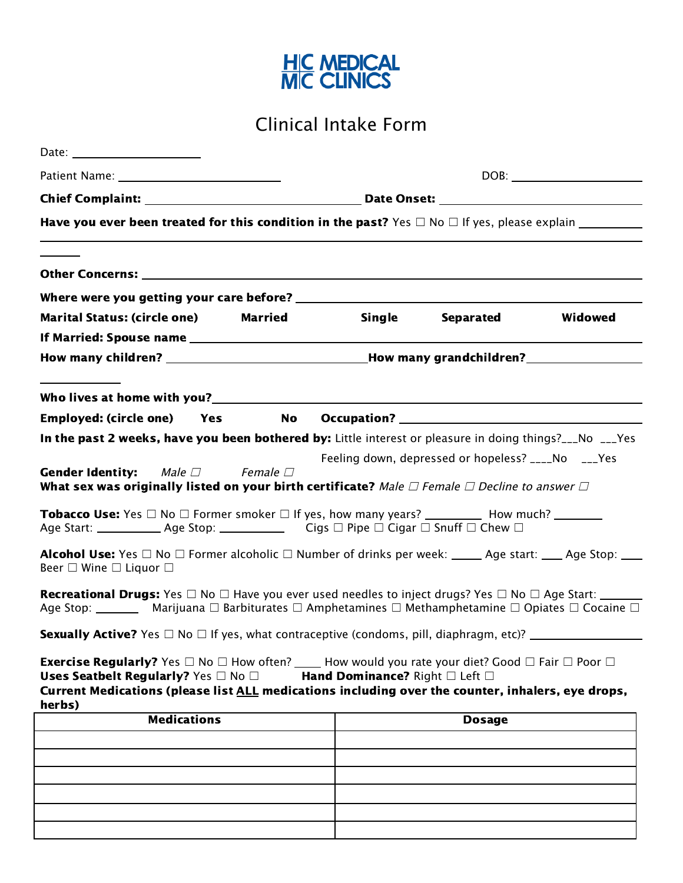

Clinical Intake Form

| Date: ________________________                                                                                                                                                                                                                                                                     |                                |                                                    |         |  |  |  |  |
|----------------------------------------------------------------------------------------------------------------------------------------------------------------------------------------------------------------------------------------------------------------------------------------------------|--------------------------------|----------------------------------------------------|---------|--|--|--|--|
|                                                                                                                                                                                                                                                                                                    |                                |                                                    |         |  |  |  |  |
|                                                                                                                                                                                                                                                                                                    |                                |                                                    |         |  |  |  |  |
|                                                                                                                                                                                                                                                                                                    |                                |                                                    |         |  |  |  |  |
|                                                                                                                                                                                                                                                                                                    |                                |                                                    |         |  |  |  |  |
|                                                                                                                                                                                                                                                                                                    |                                |                                                    |         |  |  |  |  |
|                                                                                                                                                                                                                                                                                                    |                                |                                                    |         |  |  |  |  |
| Marital Status: (circle one) Married                                                                                                                                                                                                                                                               | Single                         | Separated                                          | Widowed |  |  |  |  |
|                                                                                                                                                                                                                                                                                                    |                                |                                                    |         |  |  |  |  |
|                                                                                                                                                                                                                                                                                                    |                                |                                                    |         |  |  |  |  |
|                                                                                                                                                                                                                                                                                                    |                                |                                                    |         |  |  |  |  |
| Employed: (circle one)  Yes<br>No                                                                                                                                                                                                                                                                  |                                |                                                    |         |  |  |  |  |
| In the past 2 weeks, have you been bothered by: Little interest or pleasure in doing things?___No ___Yes                                                                                                                                                                                           |                                |                                                    |         |  |  |  |  |
|                                                                                                                                                                                                                                                                                                    |                                | Feeling down, depressed or hopeless? ____No ___Yes |         |  |  |  |  |
| <b>Gender Identity:</b><br>Male $\Box$ Female $\Box$<br>What sex was originally listed on your birth certificate? Male $\Box$ Female $\Box$ Decline to answer $\Box$                                                                                                                               |                                |                                                    |         |  |  |  |  |
| <b>Tobacco Use:</b> Yes $\Box$ No $\Box$ Former smoker $\Box$ If yes, how many years? ___________ How much? __________                                                                                                                                                                             |                                |                                                    |         |  |  |  |  |
| Alcohol Use: Yes $\Box$ No $\Box$ Former alcoholic $\Box$ Number of drinks per week: _____ Age start: ____ Age Stop: ___<br>Beer $\square$ Wine $\square$ Liquor $\square$                                                                                                                         |                                |                                                    |         |  |  |  |  |
| <b>Recreational Drugs:</b> Yes $\Box$ No $\Box$ Have you ever used needles to inject drugs? Yes $\Box$ No $\Box$ Age Start: ______<br>Age Stop: ___________ Marijuana $\Box$ Barbiturates $\Box$ Amphetamines $\Box$ Methamphetamine $\Box$ Opiates $\Box$ Cocaine $\Box$                          |                                |                                                    |         |  |  |  |  |
| <b>Sexually Active?</b> Yes $\Box$ No $\Box$ If yes, what contraceptive (condoms, pill, diaphragm, etc)? __________________                                                                                                                                                                        |                                |                                                    |         |  |  |  |  |
| <b>Exercise Regularly?</b> Yes $\Box$ No $\Box$ How often? _____ How would you rate your diet? Good $\Box$ Fair $\Box$ Poor $\Box$<br>Uses Seatbelt Regularly? Yes $\Box$ No $\Box$<br>Current Medications (please list ALL medications including over the counter, inhalers, eye drops,<br>herbs) | Hand Dominance? Right □ Left □ |                                                    |         |  |  |  |  |
| <b>Medications</b>                                                                                                                                                                                                                                                                                 |                                | <b>Dosage</b>                                      |         |  |  |  |  |
|                                                                                                                                                                                                                                                                                                    |                                |                                                    |         |  |  |  |  |
|                                                                                                                                                                                                                                                                                                    |                                |                                                    |         |  |  |  |  |
|                                                                                                                                                                                                                                                                                                    |                                |                                                    |         |  |  |  |  |
|                                                                                                                                                                                                                                                                                                    |                                |                                                    |         |  |  |  |  |
|                                                                                                                                                                                                                                                                                                    |                                |                                                    |         |  |  |  |  |
|                                                                                                                                                                                                                                                                                                    |                                |                                                    |         |  |  |  |  |